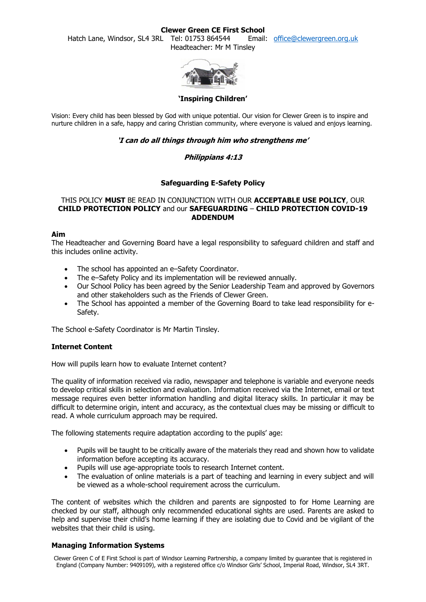#### **Clewer Green CE First School**

Hatch Lane, Windsor, SL4 3RL Tel: 01753 864544 Email: [office@clewergreen.org.uk](mailto:office@clewergreen.org.uk) Headteacher: Mr M Tinsley



### **'Inspiring Children'**

Vision: Every child has been blessed by God with unique potential. Our vision for Clewer Green is to inspire and nurture children in a safe, happy and caring Christian community, where everyone is valued and enjoys learning.

# **'I can do all things through him who strengthens me'**

# **Philippians 4:13**

# **Safeguarding E-Safety Policy**

# THIS POLICY **MUST** BE READ IN CONJUNCTION WITH OUR **ACCEPTABLE USE POLICY**, OUR **CHILD PROTECTION POLICY** and our **SAFEGUARDING** – **CHILD PROTECTION COVID-19 ADDENDUM**

#### **Aim**

The Headteacher and Governing Board have a legal responsibility to safeguard children and staff and this includes online activity.

- The school has appointed an e–Safety Coordinator.
- The e–Safety Policy and its implementation will be reviewed annually.
- Our School Policy has been agreed by the Senior Leadership Team and approved by Governors and other stakeholders such as the Friends of Clewer Green.
- The School has appointed a member of the Governing Board to take lead responsibility for e-Safety.

The School e-Safety Coordinator is Mr Martin Tinsley.

### **Internet Content**

How will pupils learn how to evaluate Internet content?

The quality of information received via radio, newspaper and telephone is variable and everyone needs to develop critical skills in selection and evaluation. Information received via the Internet, email or text message requires even better information handling and digital literacy skills. In particular it may be difficult to determine origin, intent and accuracy, as the contextual clues may be missing or difficult to read. A whole curriculum approach may be required.

The following statements require adaptation according to the pupils' age:

- Pupils will be taught to be critically aware of the materials they read and shown how to validate information before accepting its accuracy.
- Pupils will use age-appropriate tools to research Internet content.
- The evaluation of online materials is a part of teaching and learning in every subject and will be viewed as a whole-school requirement across the curriculum.

The content of websites which the children and parents are signposted to for Home Learning are checked by our staff, although only recommended educational sights are used. Parents are asked to help and supervise their child's home learning if they are isolating due to Covid and be vigilant of the websites that their child is using.

### **Managing Information Systems**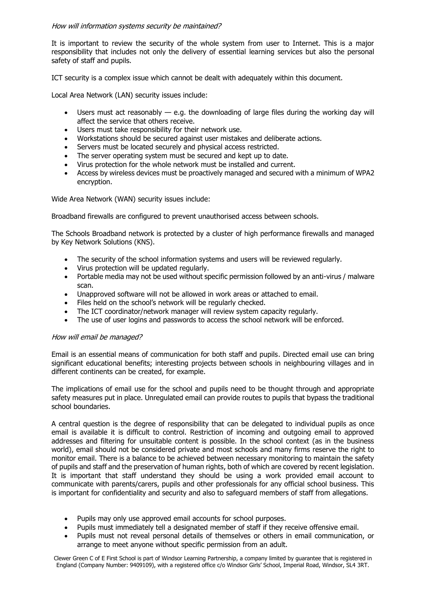### How will information systems security be maintained?

It is important to review the security of the whole system from user to Internet. This is a major responsibility that includes not only the delivery of essential learning services but also the personal safety of staff and pupils.

ICT security is a complex issue which cannot be dealt with adequately within this document.

Local Area Network (LAN) security issues include:

- Users must act reasonably e.g. the downloading of large files during the working day will affect the service that others receive.
- Users must take responsibility for their network use.
- Workstations should be secured against user mistakes and deliberate actions.
- Servers must be located securely and physical access restricted.
- The server operating system must be secured and kept up to date.
- Virus protection for the whole network must be installed and current.
- Access by wireless devices must be proactively managed and secured with a minimum of WPA2 encryption.

Wide Area Network (WAN) security issues include:

Broadband firewalls are configured to prevent unauthorised access between schools.

The Schools Broadband network is protected by a cluster of high performance firewalls and managed by Key Network Solutions (KNS).

- The security of the school information systems and users will be reviewed regularly.
- Virus protection will be updated regularly.
- Portable media may not be used without specific permission followed by an anti-virus / malware scan.
- Unapproved software will not be allowed in work areas or attached to email.
- Files held on the school's network will be regularly checked.
- The ICT coordinator/network manager will review system capacity regularly.
- The use of user logins and passwords to access the school network will be enforced.

### How will email be managed?

Email is an essential means of communication for both staff and pupils. Directed email use can bring significant educational benefits; interesting projects between schools in neighbouring villages and in different continents can be created, for example.

The implications of email use for the school and pupils need to be thought through and appropriate safety measures put in place. Unregulated email can provide routes to pupils that bypass the traditional school boundaries.

A central question is the degree of responsibility that can be delegated to individual pupils as once email is available it is difficult to control. Restriction of incoming and outgoing email to approved addresses and filtering for unsuitable content is possible. In the school context (as in the business world), email should not be considered private and most schools and many firms reserve the right to monitor email. There is a balance to be achieved between necessary monitoring to maintain the safety of pupils and staff and the preservation of human rights, both of which are covered by recent legislation. It is important that staff understand they should be using a work provided email account to communicate with parents/carers, pupils and other professionals for any official school business. This is important for confidentiality and security and also to safeguard members of staff from allegations.

- Pupils may only use approved email accounts for school purposes.
- Pupils must immediately tell a designated member of staff if they receive offensive email.
- Pupils must not reveal personal details of themselves or others in email communication, or arrange to meet anyone without specific permission from an adult.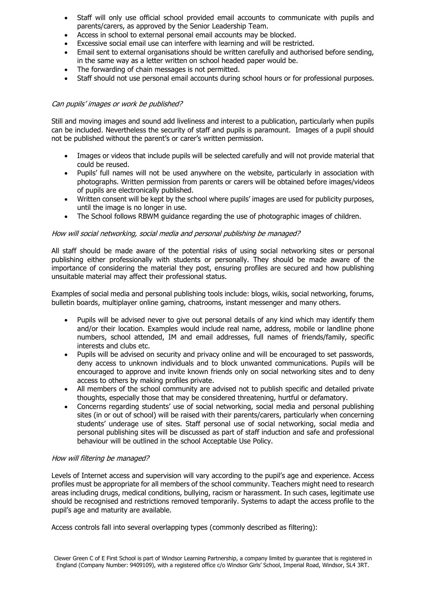- Staff will only use official school provided email accounts to communicate with pupils and parents/carers, as approved by the Senior Leadership Team.
- Access in school to external personal email accounts may be blocked.
- Excessive social email use can interfere with learning and will be restricted.
- Email sent to external organisations should be written carefully and authorised before sending, in the same way as a letter written on school headed paper would be.
- The forwarding of chain messages is not permitted.
- Staff should not use personal email accounts during school hours or for professional purposes.

# Can pupils' images or work be published?

Still and moving images and sound add liveliness and interest to a publication, particularly when pupils can be included. Nevertheless the security of staff and pupils is paramount. Images of a pupil should not be published without the parent's or carer's written permission.

- Images or videos that include pupils will be selected carefully and will not provide material that could be reused.
- Pupils' full names will not be used anywhere on the website, particularly in association with photographs. Written permission from parents or carers will be obtained before images/videos of pupils are electronically published.
- Written consent will be kept by the school where pupils' images are used for publicity purposes, until the image is no longer in use.
- The School follows RBWM guidance regarding the use of photographic images of children.

### How will social networking, social media and personal publishing be managed?

All staff should be made aware of the potential risks of using social networking sites or personal publishing either professionally with students or personally. They should be made aware of the importance of considering the material they post, ensuring profiles are secured and how publishing unsuitable material may affect their professional status.

Examples of social media and personal publishing tools include: blogs, wikis, social networking, forums, bulletin boards, multiplayer online gaming, chatrooms, instant messenger and many others.

- Pupils will be advised never to give out personal details of any kind which may identify them and/or their location. Examples would include real name, address, mobile or landline phone numbers, school attended, IM and email addresses, full names of friends/family, specific interests and clubs etc.
- Pupils will be advised on security and privacy online and will be encouraged to set passwords, deny access to unknown individuals and to block unwanted communications. Pupils will be encouraged to approve and invite known friends only on social networking sites and to deny access to others by making profiles private.
- All members of the school community are advised not to publish specific and detailed private thoughts, especially those that may be considered threatening, hurtful or defamatory.
- Concerns regarding students' use of social networking, social media and personal publishing sites (in or out of school) will be raised with their parents/carers, particularly when concerning students' underage use of sites. Staff personal use of social networking, social media and personal publishing sites will be discussed as part of staff induction and safe and professional behaviour will be outlined in the school Acceptable Use Policy.

### How will filtering be managed?

Levels of Internet access and supervision will vary according to the pupil's age and experience. Access profiles must be appropriate for all members of the school community. Teachers might need to research areas including drugs, medical conditions, bullying, racism or harassment. In such cases, legitimate use should be recognised and restrictions removed temporarily. Systems to adapt the access profile to the pupil's age and maturity are available.

Access controls fall into several overlapping types (commonly described as filtering):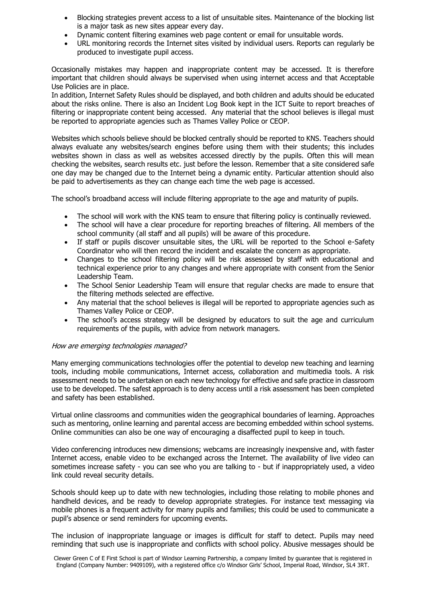- Blocking strategies prevent access to a list of unsuitable sites. Maintenance of the blocking list is a major task as new sites appear every day.
- Dynamic content filtering examines web page content or email for unsuitable words.
- URL monitoring records the Internet sites visited by individual users. Reports can regularly be produced to investigate pupil access.

Occasionally mistakes may happen and inappropriate content may be accessed. It is therefore important that children should always be supervised when using internet access and that Acceptable Use Policies are in place.

In addition, Internet Safety Rules should be displayed, and both children and adults should be educated about the risks online. There is also an Incident Log Book kept in the ICT Suite to report breaches of filtering or inappropriate content being accessed. Any material that the school believes is illegal must be reported to appropriate agencies such as Thames Valley Police or CEOP.

Websites which schools believe should be blocked centrally should be reported to KNS. Teachers should always evaluate any websites/search engines before using them with their students; this includes websites shown in class as well as websites accessed directly by the pupils. Often this will mean checking the websites, search results etc. just before the lesson. Remember that a site considered safe one day may be changed due to the Internet being a dynamic entity. Particular attention should also be paid to advertisements as they can change each time the web page is accessed.

The school's broadband access will include filtering appropriate to the age and maturity of pupils.

- The school will work with the KNS team to ensure that filtering policy is continually reviewed.
- The school will have a clear procedure for reporting breaches of filtering. All members of the school community (all staff and all pupils) will be aware of this procedure.
- If staff or pupils discover unsuitable sites, the URL will be reported to the School e-Safety Coordinator who will then record the incident and escalate the concern as appropriate.
- Changes to the school filtering policy will be risk assessed by staff with educational and technical experience prior to any changes and where appropriate with consent from the Senior Leadership Team.
- The School Senior Leadership Team will ensure that regular checks are made to ensure that the filtering methods selected are effective.
- Any material that the school believes is illegal will be reported to appropriate agencies such as Thames Valley Police or CEOP.
- The school's access strategy will be designed by educators to suit the age and curriculum requirements of the pupils, with advice from network managers.

### How are emerging technologies managed?

Many emerging communications technologies offer the potential to develop new teaching and learning tools, including mobile communications, Internet access, collaboration and multimedia tools. A risk assessment needs to be undertaken on each new technology for effective and safe practice in classroom use to be developed. The safest approach is to deny access until a risk assessment has been completed and safety has been established.

Virtual online classrooms and communities widen the geographical boundaries of learning. Approaches such as mentoring, online learning and parental access are becoming embedded within school systems. Online communities can also be one way of encouraging a disaffected pupil to keep in touch.

Video conferencing introduces new dimensions; webcams are increasingly inexpensive and, with faster Internet access, enable video to be exchanged across the Internet. The availability of live video can sometimes increase safety - you can see who you are talking to - but if inappropriately used, a video link could reveal security details.

Schools should keep up to date with new technologies, including those relating to mobile phones and handheld devices, and be ready to develop appropriate strategies. For instance text messaging via mobile phones is a frequent activity for many pupils and families; this could be used to communicate a pupil's absence or send reminders for upcoming events.

The inclusion of inappropriate language or images is difficult for staff to detect. Pupils may need reminding that such use is inappropriate and conflicts with school policy. Abusive messages should be

Clewer Green C of E First School is part of Windsor Learning Partnership, a company limited by guarantee that is registered in England (Company Number: 9409109), with a registered office c/o Windsor Girls' School, Imperial Road, Windsor, SL4 3RT.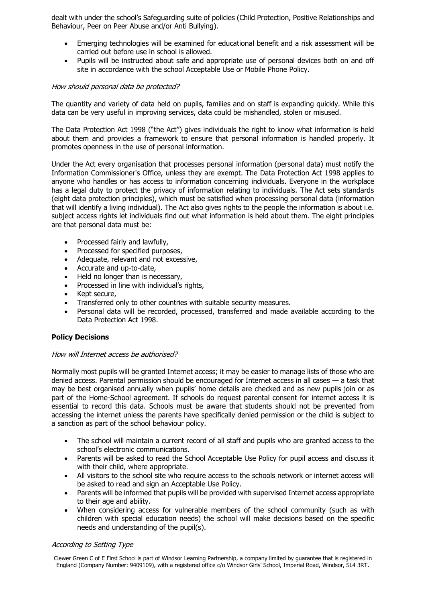dealt with under the school's Safeguarding suite of policies (Child Protection, Positive Relationships and Behaviour, Peer on Peer Abuse and/or Anti Bullying).

- Emerging technologies will be examined for educational benefit and a risk assessment will be carried out before use in school is allowed.
- Pupils will be instructed about safe and appropriate use of personal devices both on and off site in accordance with the school Acceptable Use or Mobile Phone Policy.

### How should personal data be protected?

The quantity and variety of data held on pupils, families and on staff is expanding quickly. While this data can be very useful in improving services, data could be mishandled, stolen or misused.

The Data Protection Act 1998 ("the Act") gives individuals the right to know what information is held about them and provides a framework to ensure that personal information is handled properly. It promotes openness in the use of personal information.

Under the Act every organisation that processes personal information (personal data) must notify the Information Commissioner's Office, unless they are exempt. The Data Protection Act 1998 applies to anyone who handles or has access to information concerning individuals. Everyone in the workplace has a legal duty to protect the privacy of information relating to individuals. The Act sets standards (eight data protection principles), which must be satisfied when processing personal data (information that will identify a living individual). The Act also gives rights to the people the information is about i.e. subject access rights let individuals find out what information is held about them. The eight principles are that personal data must be:

- Processed fairly and lawfully,
- Processed for specified purposes,
- Adequate, relevant and not excessive,
- Accurate and up-to-date,
- Held no longer than is necessary,
- Processed in line with individual's rights,
- Kept secure,
- Transferred only to other countries with suitable security measures.
- Personal data will be recorded, processed, transferred and made available according to the Data Protection Act 1998.

### **Policy Decisions**

### How will Internet access be authorised?

Normally most pupils will be granted Internet access; it may be easier to manage lists of those who are denied access. Parental permission should be encouraged for Internet access in all cases — a task that may be best organised annually when pupils' home details are checked and as new pupils join or as part of the Home-School agreement. If schools do request parental consent for internet access it is essential to record this data. Schools must be aware that students should not be prevented from accessing the internet unless the parents have specifically denied permission or the child is subject to a sanction as part of the school behaviour policy.

- The school will maintain a current record of all staff and pupils who are granted access to the school's electronic communications.
- Parents will be asked to read the School Acceptable Use Policy for pupil access and discuss it with their child, where appropriate.
- All visitors to the school site who require access to the schools network or internet access will be asked to read and sign an Acceptable Use Policy.
- Parents will be informed that pupils will be provided with supervised Internet access appropriate to their age and ability.
- When considering access for vulnerable members of the school community (such as with children with special education needs) the school will make decisions based on the specific needs and understanding of the pupil(s).

### According to Setting Type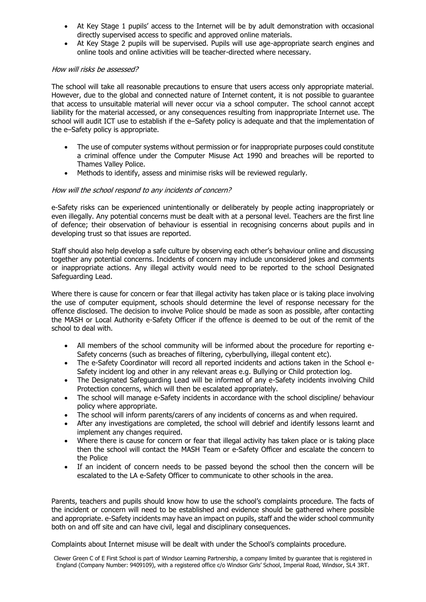- At Key Stage 1 pupils' access to the Internet will be by adult demonstration with occasional directly supervised access to specific and approved online materials.
- At Key Stage 2 pupils will be supervised. Pupils will use age-appropriate search engines and online tools and online activities will be teacher-directed where necessary.

#### How will risks be assessed?

The school will take all reasonable precautions to ensure that users access only appropriate material. However, due to the global and connected nature of Internet content, it is not possible to guarantee that access to unsuitable material will never occur via a school computer. The school cannot accept liability for the material accessed, or any consequences resulting from inappropriate Internet use. The school will audit ICT use to establish if the e–Safety policy is adequate and that the implementation of the e–Safety policy is appropriate.

- The use of computer systems without permission or for inappropriate purposes could constitute a criminal offence under the Computer Misuse Act 1990 and breaches will be reported to Thames Valley Police.
- Methods to identify, assess and minimise risks will be reviewed regularly.

### How will the school respond to any incidents of concern?

e-Safety risks can be experienced unintentionally or deliberately by people acting inappropriately or even illegally. Any potential concerns must be dealt with at a personal level. Teachers are the first line of defence; their observation of behaviour is essential in recognising concerns about pupils and in developing trust so that issues are reported.

Staff should also help develop a safe culture by observing each other's behaviour online and discussing together any potential concerns. Incidents of concern may include unconsidered jokes and comments or inappropriate actions. Any illegal activity would need to be reported to the school Designated Safeguarding Lead.

Where there is cause for concern or fear that illegal activity has taken place or is taking place involving the use of computer equipment, schools should determine the level of response necessary for the offence disclosed. The decision to involve Police should be made as soon as possible, after contacting the MASH or Local Authority e-Safety Officer if the offence is deemed to be out of the remit of the school to deal with.

- All members of the school community will be informed about the procedure for reporting e-Safety concerns (such as breaches of filtering, cyberbullying, illegal content etc).
- The e-Safety Coordinator will record all reported incidents and actions taken in the School e-Safety incident log and other in any relevant areas e.g. Bullying or Child protection log.
- The Designated Safeguarding Lead will be informed of any e-Safety incidents involving Child Protection concerns, which will then be escalated appropriately.
- The school will manage e-Safety incidents in accordance with the school discipline/ behaviour policy where appropriate.
- The school will inform parents/carers of any incidents of concerns as and when required.
- After any investigations are completed, the school will debrief and identify lessons learnt and implement any changes required.
- Where there is cause for concern or fear that illegal activity has taken place or is taking place then the school will contact the MASH Team or e-Safety Officer and escalate the concern to the Police
- If an incident of concern needs to be passed beyond the school then the concern will be escalated to the LA e-Safety Officer to communicate to other schools in the area.

Parents, teachers and pupils should know how to use the school's complaints procedure. The facts of the incident or concern will need to be established and evidence should be gathered where possible and appropriate. e-Safety incidents may have an impact on pupils, staff and the wider school community both on and off site and can have civil, legal and disciplinary consequences.

Complaints about Internet misuse will be dealt with under the School's complaints procedure.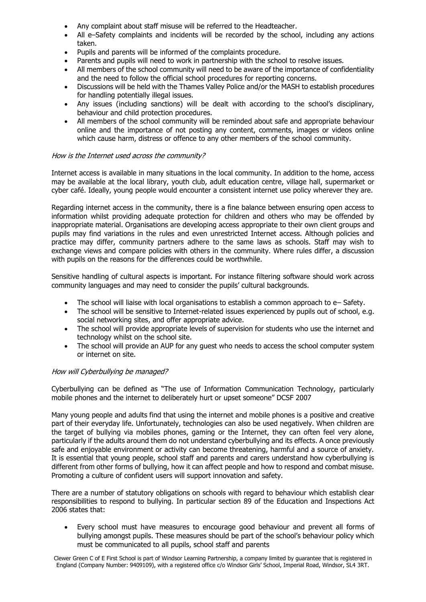- Any complaint about staff misuse will be referred to the Headteacher.
- All e–Safety complaints and incidents will be recorded by the school, including any actions taken.
- Pupils and parents will be informed of the complaints procedure.
- Parents and pupils will need to work in partnership with the school to resolve issues.
- All members of the school community will need to be aware of the importance of confidentiality and the need to follow the official school procedures for reporting concerns.
- Discussions will be held with the Thames Valley Police and/or the MASH to establish procedures for handling potentially illegal issues.
- Any issues (including sanctions) will be dealt with according to the school's disciplinary, behaviour and child protection procedures.
- All members of the school community will be reminded about safe and appropriate behaviour online and the importance of not posting any content, comments, images or videos online which cause harm, distress or offence to any other members of the school community.

### How is the Internet used across the community?

Internet access is available in many situations in the local community. In addition to the home, access may be available at the local library, youth club, adult education centre, village hall, supermarket or cyber café. Ideally, young people would encounter a consistent internet use policy wherever they are.

Regarding internet access in the community, there is a fine balance between ensuring open access to information whilst providing adequate protection for children and others who may be offended by inappropriate material. Organisations are developing access appropriate to their own client groups and pupils may find variations in the rules and even unrestricted Internet access. Although policies and practice may differ, community partners adhere to the same laws as schools. Staff may wish to exchange views and compare policies with others in the community. Where rules differ, a discussion with pupils on the reasons for the differences could be worthwhile.

Sensitive handling of cultural aspects is important. For instance filtering software should work across community languages and may need to consider the pupils' cultural backgrounds.

- The school will liaise with local organisations to establish a common approach to e– Safety.
- The school will be sensitive to Internet-related issues experienced by pupils out of school, e.g. social networking sites, and offer appropriate advice.
- The school will provide appropriate levels of supervision for students who use the internet and technology whilst on the school site.
- The school will provide an AUP for any guest who needs to access the school computer system or internet on site.

### How will Cyberbullying be managed?

Cyberbullying can be defined as "The use of Information Communication Technology, particularly mobile phones and the internet to deliberately hurt or upset someone" DCSF 2007

Many young people and adults find that using the internet and mobile phones is a positive and creative part of their everyday life. Unfortunately, technologies can also be used negatively. When children are the target of bullying via mobiles phones, gaming or the Internet, they can often feel very alone, particularly if the adults around them do not understand cyberbullying and its effects. A once previously safe and enjoyable environment or activity can become threatening, harmful and a source of anxiety. It is essential that young people, school staff and parents and carers understand how cyberbullying is different from other forms of bullying, how it can affect people and how to respond and combat misuse. Promoting a culture of confident users will support innovation and safety.

There are a number of statutory obligations on schools with regard to behaviour which establish clear responsibilities to respond to bullying. In particular section 89 of the Education and Inspections Act 2006 states that:

 Every school must have measures to encourage good behaviour and prevent all forms of bullying amongst pupils. These measures should be part of the school's behaviour policy which must be communicated to all pupils, school staff and parents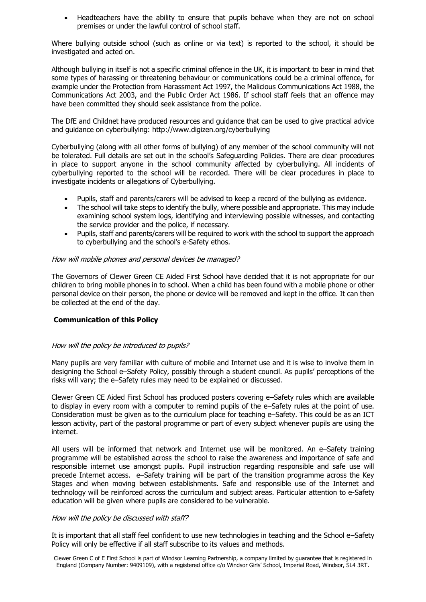Headteachers have the ability to ensure that pupils behave when they are not on school premises or under the lawful control of school staff.

Where bullying outside school (such as online or via text) is reported to the school, it should be investigated and acted on.

Although bullying in itself is not a specific criminal offence in the UK, it is important to bear in mind that some types of harassing or threatening behaviour or communications could be a criminal offence, for example under the Protection from Harassment Act 1997, the Malicious Communications Act 1988, the Communications Act 2003, and the Public Order Act 1986. If school staff feels that an offence may have been committed they should seek assistance from the police.

The DfE and Childnet have produced resources and guidance that can be used to give practical advice and guidance on cyberbullying: http://www.digizen.org/cyberbullying

Cyberbullying (along with all other forms of bullying) of any member of the school community will not be tolerated. Full details are set out in the school's Safeguarding Policies. There are clear procedures in place to support anyone in the school community affected by cyberbullying. All incidents of cyberbullying reported to the school will be recorded. There will be clear procedures in place to investigate incidents or allegations of Cyberbullying.

- Pupils, staff and parents/carers will be advised to keep a record of the bullying as evidence.
- The school will take steps to identify the bully, where possible and appropriate. This may include examining school system logs, identifying and interviewing possible witnesses, and contacting the service provider and the police, if necessary.
- Pupils, staff and parents/carers will be required to work with the school to support the approach to cyberbullying and the school's e-Safety ethos.

#### How will mobile phones and personal devices be managed?

The Governors of Clewer Green CE Aided First School have decided that it is not appropriate for our children to bring mobile phones in to school. When a child has been found with a mobile phone or other personal device on their person, the phone or device will be removed and kept in the office. It can then be collected at the end of the day.

### **Communication of this Policy**

#### How will the policy be introduced to pupils?

Many pupils are very familiar with culture of mobile and Internet use and it is wise to involve them in designing the School e–Safety Policy, possibly through a student council. As pupils' perceptions of the risks will vary; the e–Safety rules may need to be explained or discussed.

Clewer Green CE Aided First School has produced posters covering e–Safety rules which are available to display in every room with a computer to remind pupils of the e–Safety rules at the point of use. Consideration must be given as to the curriculum place for teaching e–Safety. This could be as an ICT lesson activity, part of the pastoral programme or part of every subject whenever pupils are using the internet.

All users will be informed that network and Internet use will be monitored. An e–Safety training programme will be established across the school to raise the awareness and importance of safe and responsible internet use amongst pupils. Pupil instruction regarding responsible and safe use will precede Internet access. e–Safety training will be part of the transition programme across the Key Stages and when moving between establishments. Safe and responsible use of the Internet and technology will be reinforced across the curriculum and subject areas. Particular attention to e-Safety education will be given where pupils are considered to be vulnerable.

#### How will the policy be discussed with staff?

It is important that all staff feel confident to use new technologies in teaching and the School e–Safety Policy will only be effective if all staff subscribe to its values and methods.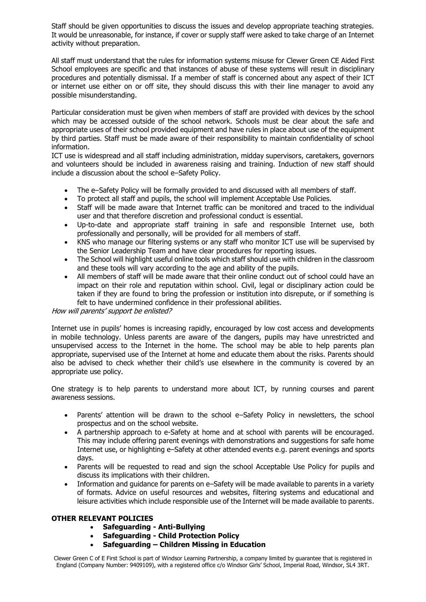Staff should be given opportunities to discuss the issues and develop appropriate teaching strategies. It would be unreasonable, for instance, if cover or supply staff were asked to take charge of an Internet activity without preparation.

All staff must understand that the rules for information systems misuse for Clewer Green CE Aided First School employees are specific and that instances of abuse of these systems will result in disciplinary procedures and potentially dismissal. If a member of staff is concerned about any aspect of their ICT or internet use either on or off site, they should discuss this with their line manager to avoid any possible misunderstanding.

Particular consideration must be given when members of staff are provided with devices by the school which may be accessed outside of the school network. Schools must be clear about the safe and appropriate uses of their school provided equipment and have rules in place about use of the equipment by third parties. Staff must be made aware of their responsibility to maintain confidentiality of school information.

ICT use is widespread and all staff including administration, midday supervisors, caretakers, governors and volunteers should be included in awareness raising and training. Induction of new staff should include a discussion about the school e–Safety Policy.

- The e–Safety Policy will be formally provided to and discussed with all members of staff.
- To protect all staff and pupils, the school will implement Acceptable Use Policies.
- Staff will be made aware that Internet traffic can be monitored and traced to the individual user and that therefore discretion and professional conduct is essential.
- Up-to-date and appropriate staff training in safe and responsible Internet use, both professionally and personally, will be provided for all members of staff.
- KNS who manage our filtering systems or any staff who monitor ICT use will be supervised by the Senior Leadership Team and have clear procedures for reporting issues.
- The School will highlight useful online tools which staff should use with children in the classroom and these tools will vary according to the age and ability of the pupils.
- All members of staff will be made aware that their online conduct out of school could have an impact on their role and reputation within school. Civil, legal or disciplinary action could be taken if they are found to bring the profession or institution into disrepute, or if something is felt to have undermined confidence in their professional abilities.

How will parents' support be enlisted?

Internet use in pupils' homes is increasing rapidly, encouraged by low cost access and developments in mobile technology. Unless parents are aware of the dangers, pupils may have unrestricted and unsupervised access to the Internet in the home. The school may be able to help parents plan appropriate, supervised use of the Internet at home and educate them about the risks. Parents should also be advised to check whether their child's use elsewhere in the community is covered by an appropriate use policy.

One strategy is to help parents to understand more about ICT, by running courses and parent awareness sessions.

- Parents' attention will be drawn to the school e–Safety Policy in newsletters, the school prospectus and on the school website.
- A partnership approach to e-Safety at home and at school with parents will be encouraged. This may include offering parent evenings with demonstrations and suggestions for safe home Internet use, or highlighting e–Safety at other attended events e.g. parent evenings and sports days.
- Parents will be requested to read and sign the school Acceptable Use Policy for pupils and discuss its implications with their children.
- Information and guidance for parents on e-Safety will be made available to parents in a variety of formats. Advice on useful resources and websites, filtering systems and educational and leisure activities which include responsible use of the Internet will be made available to parents.

# **OTHER RELEVANT POLICIES**

- **Safeguarding - Anti-Bullying**
- **Safeguarding - Child Protection Policy**
- **Safeguarding – Children Missing in Education**